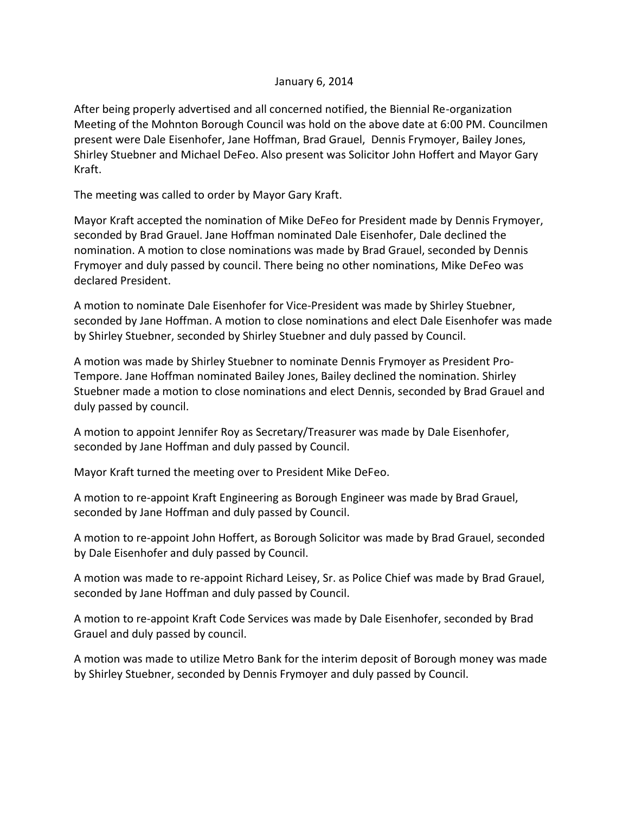## January 6, 2014

After being properly advertised and all concerned notified, the Biennial Re-organization Meeting of the Mohnton Borough Council was hold on the above date at 6:00 PM. Councilmen present were Dale Eisenhofer, Jane Hoffman, Brad Grauel, Dennis Frymoyer, Bailey Jones, Shirley Stuebner and Michael DeFeo. Also present was Solicitor John Hoffert and Mayor Gary Kraft.

The meeting was called to order by Mayor Gary Kraft.

Mayor Kraft accepted the nomination of Mike DeFeo for President made by Dennis Frymoyer, seconded by Brad Grauel. Jane Hoffman nominated Dale Eisenhofer, Dale declined the nomination. A motion to close nominations was made by Brad Grauel, seconded by Dennis Frymoyer and duly passed by council. There being no other nominations, Mike DeFeo was declared President.

A motion to nominate Dale Eisenhofer for Vice-President was made by Shirley Stuebner, seconded by Jane Hoffman. A motion to close nominations and elect Dale Eisenhofer was made by Shirley Stuebner, seconded by Shirley Stuebner and duly passed by Council.

A motion was made by Shirley Stuebner to nominate Dennis Frymoyer as President Pro-Tempore. Jane Hoffman nominated Bailey Jones, Bailey declined the nomination. Shirley Stuebner made a motion to close nominations and elect Dennis, seconded by Brad Grauel and duly passed by council.

A motion to appoint Jennifer Roy as Secretary/Treasurer was made by Dale Eisenhofer, seconded by Jane Hoffman and duly passed by Council.

Mayor Kraft turned the meeting over to President Mike DeFeo.

A motion to re-appoint Kraft Engineering as Borough Engineer was made by Brad Grauel, seconded by Jane Hoffman and duly passed by Council.

A motion to re-appoint John Hoffert, as Borough Solicitor was made by Brad Grauel, seconded by Dale Eisenhofer and duly passed by Council.

A motion was made to re-appoint Richard Leisey, Sr. as Police Chief was made by Brad Grauel, seconded by Jane Hoffman and duly passed by Council.

A motion to re-appoint Kraft Code Services was made by Dale Eisenhofer, seconded by Brad Grauel and duly passed by council.

A motion was made to utilize Metro Bank for the interim deposit of Borough money was made by Shirley Stuebner, seconded by Dennis Frymoyer and duly passed by Council.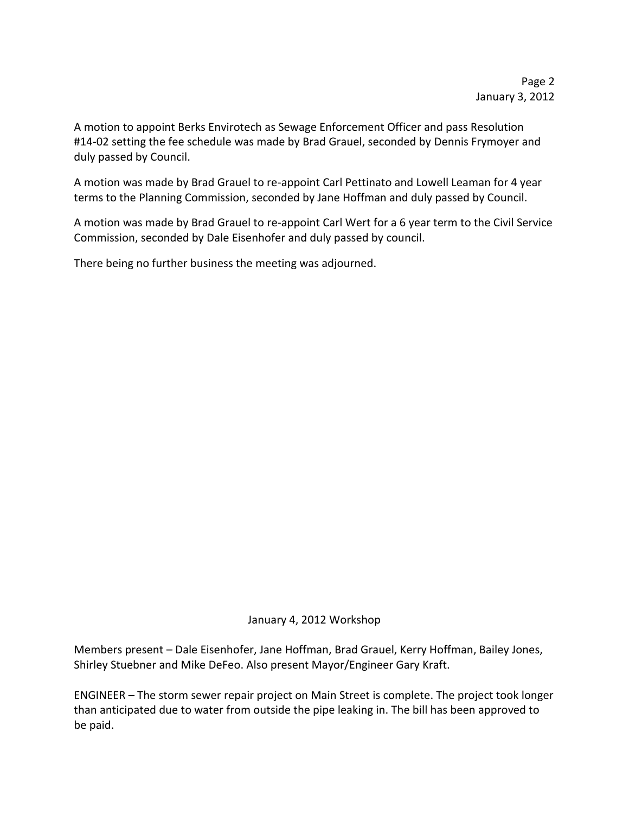A motion to appoint Berks Envirotech as Sewage Enforcement Officer and pass Resolution #14-02 setting the fee schedule was made by Brad Grauel, seconded by Dennis Frymoyer and duly passed by Council.

A motion was made by Brad Grauel to re-appoint Carl Pettinato and Lowell Leaman for 4 year terms to the Planning Commission, seconded by Jane Hoffman and duly passed by Council.

A motion was made by Brad Grauel to re-appoint Carl Wert for a 6 year term to the Civil Service Commission, seconded by Dale Eisenhofer and duly passed by council.

There being no further business the meeting was adjourned.

## January 4, 2012 Workshop

Members present – Dale Eisenhofer, Jane Hoffman, Brad Grauel, Kerry Hoffman, Bailey Jones, Shirley Stuebner and Mike DeFeo. Also present Mayor/Engineer Gary Kraft.

ENGINEER – The storm sewer repair project on Main Street is complete. The project took longer than anticipated due to water from outside the pipe leaking in. The bill has been approved to be paid.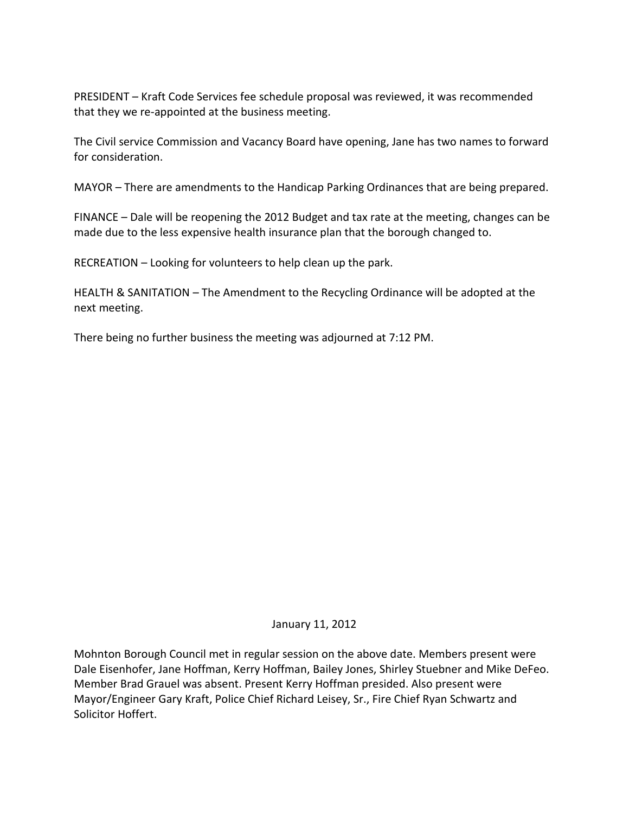PRESIDENT – Kraft Code Services fee schedule proposal was reviewed, it was recommended that they we re-appointed at the business meeting.

The Civil service Commission and Vacancy Board have opening, Jane has two names to forward for consideration.

MAYOR – There are amendments to the Handicap Parking Ordinances that are being prepared.

FINANCE – Dale will be reopening the 2012 Budget and tax rate at the meeting, changes can be made due to the less expensive health insurance plan that the borough changed to.

RECREATION – Looking for volunteers to help clean up the park.

HEALTH & SANITATION – The Amendment to the Recycling Ordinance will be adopted at the next meeting.

There being no further business the meeting was adjourned at 7:12 PM.

January 11, 2012

Mohnton Borough Council met in regular session on the above date. Members present were Dale Eisenhofer, Jane Hoffman, Kerry Hoffman, Bailey Jones, Shirley Stuebner and Mike DeFeo. Member Brad Grauel was absent. Present Kerry Hoffman presided. Also present were Mayor/Engineer Gary Kraft, Police Chief Richard Leisey, Sr., Fire Chief Ryan Schwartz and Solicitor Hoffert.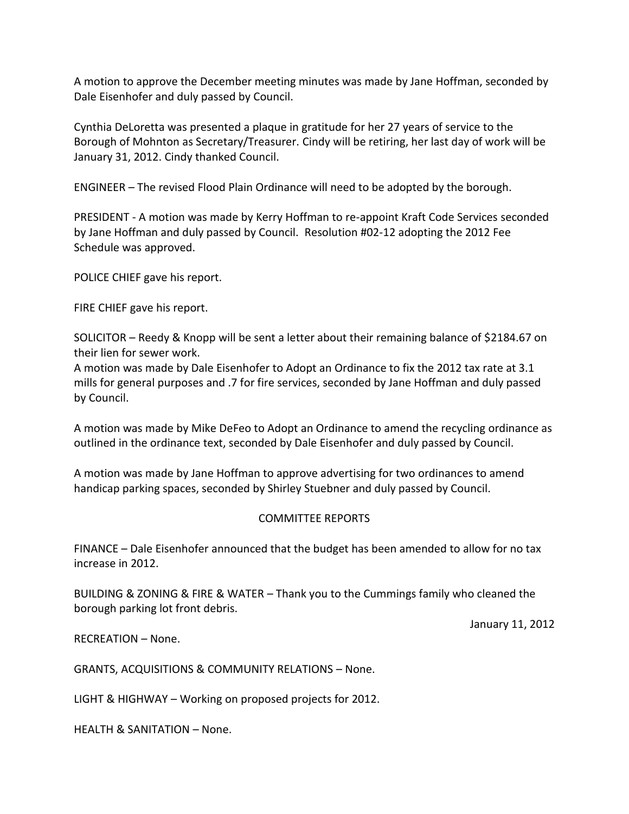A motion to approve the December meeting minutes was made by Jane Hoffman, seconded by Dale Eisenhofer and duly passed by Council.

Cynthia DeLoretta was presented a plaque in gratitude for her 27 years of service to the Borough of Mohnton as Secretary/Treasurer. Cindy will be retiring, her last day of work will be January 31, 2012. Cindy thanked Council.

ENGINEER – The revised Flood Plain Ordinance will need to be adopted by the borough.

PRESIDENT - A motion was made by Kerry Hoffman to re-appoint Kraft Code Services seconded by Jane Hoffman and duly passed by Council. Resolution #02-12 adopting the 2012 Fee Schedule was approved.

POLICE CHIEF gave his report.

FIRE CHIEF gave his report.

SOLICITOR – Reedy & Knopp will be sent a letter about their remaining balance of \$2184.67 on their lien for sewer work.

A motion was made by Dale Eisenhofer to Adopt an Ordinance to fix the 2012 tax rate at 3.1 mills for general purposes and .7 for fire services, seconded by Jane Hoffman and duly passed by Council.

A motion was made by Mike DeFeo to Adopt an Ordinance to amend the recycling ordinance as outlined in the ordinance text, seconded by Dale Eisenhofer and duly passed by Council.

A motion was made by Jane Hoffman to approve advertising for two ordinances to amend handicap parking spaces, seconded by Shirley Stuebner and duly passed by Council.

## COMMITTEE REPORTS

FINANCE – Dale Eisenhofer announced that the budget has been amended to allow for no tax increase in 2012.

BUILDING & ZONING & FIRE & WATER – Thank you to the Cummings family who cleaned the borough parking lot front debris.

January 11, 2012

RECREATION – None.

GRANTS, ACQUISITIONS & COMMUNITY RELATIONS – None.

LIGHT & HIGHWAY – Working on proposed projects for 2012.

HEALTH & SANITATION – None.